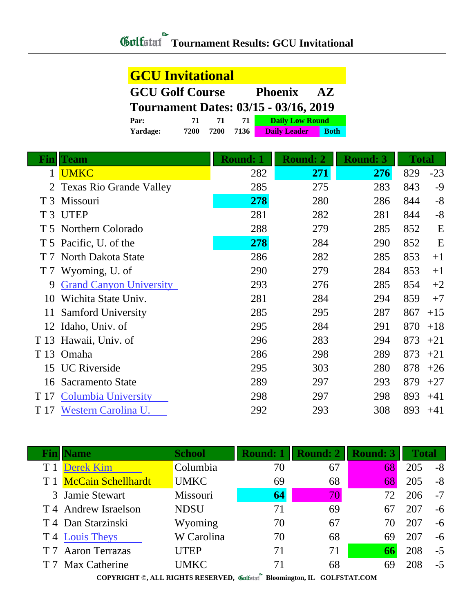| <b>GCU Invitational</b>                                             |      |      |      |                        |             |  |  |
|---------------------------------------------------------------------|------|------|------|------------------------|-------------|--|--|
| <b>GCU Golf Course</b><br><b>Phoenix</b><br>$\mathbf{A} \mathbf{Z}$ |      |      |      |                        |             |  |  |
| <b>Tournament Dates: 03/15 - 03/16, 2019</b>                        |      |      |      |                        |             |  |  |
| Par:                                                                | 71   | 71   | 71   | <b>Daily Low Round</b> |             |  |  |
| Yardage:                                                            | 7200 | 7200 | 7136 | <b>Daily Leader</b>    | <b>Roth</b> |  |  |

| Fin            | <b>Team</b>                    | <b>Round: 1</b> | <b>Round: 2</b> | <b>Round: 3</b> | <b>Total</b> |       |
|----------------|--------------------------------|-----------------|-----------------|-----------------|--------------|-------|
| 1              | <b>UMKC</b>                    | 282             | 271             | 276             | 829          | $-23$ |
|                | <b>Texas Rio Grande Valley</b> | 285             | 275             | 283             | 843          | -9    |
| T <sub>3</sub> | Missouri                       | 278             | 280             | 286             | 844          | $-8$  |
|                | T 3 UTEP                       | 281             | 282             | 281             | 844          | $-8$  |
|                | T 5 Northern Colorado          | 288             | 279             | 285             | 852          | E     |
|                | T 5 Pacific, U. of the         | 278             | 284             | 290             | 852          | E     |
| T 7            | North Dakota State             | 286             | 282             | 285             | 853          | $+1$  |
|                | T 7 Wyoming, U. of             | 290             | 279             | 284             | 853          | $+1$  |
| 9              | <b>Grand Canyon University</b> | 293             | 276             | 285             | 854          | $+2$  |
| 10             | Wichita State Univ.            | 281             | 284             | 294             | 859          | $+7$  |
| 11             | <b>Samford University</b>      | 285             | 295             | 287             | 867          | $+15$ |
|                | 12 Idaho, Univ. of             | 295             | 284             | 291             | 870          | $+18$ |
| T 13           | Hawaii, Univ. of               | 296             | 283             | 294             | 873          | $+21$ |
| T 13           | Omaha                          | 286             | 298             | 289             | 873          | $+21$ |
| 15             | <b>UC</b> Riverside            | 295             | 303             | 280             | 878          | $+26$ |
| 16             | Sacramento State               | 289             | 297             | 293             | 879          | $+27$ |
| T 17           | <b>Columbia University</b>     | 298             | 297             | 298             | 893          | $+41$ |
| T 17           | Western Carolina U.            | 292             | 293             | 308             | 893          | $+41$ |

| <b>Fin</b> | <b>Name</b>            | <b>School</b> | <b>Round: 1</b> | Round: 2     |    | <b>Total</b> |      |
|------------|------------------------|---------------|-----------------|--------------|----|--------------|------|
|            | <b>Derek Kim</b>       | Columbia      | 70              | 67           | 68 | 205          | $-8$ |
|            | T 1 McCain Schellhardt | <b>UMKC</b>   | 69              | 68           | 68 | 205          | $-8$ |
|            | 3 Jamie Stewart        | Missouri      | 64              | $ 70\rangle$ | 72 | 206          | $-7$ |
|            | T 4 Andrew Israelson   | <b>NDSU</b>   | 71              | 69           | 67 | 207          | $-6$ |
|            | T 4 Dan Starzinski     | Wyoming       | 70              | 67           | 70 | 207          | $-6$ |
|            | T 4 Louis Theys        | W Carolina    | 70              | 68           | 69 | 207          | -6   |
|            | T 7 Aaron Terrazas     | <b>UTEP</b>   | 71              | 71           | 66 | 208          | $-5$ |
|            | T 7 Max Catherine      | UMKC          | 71              | 68           | 69 |              | $-5$ |
|            |                        |               | $\sim$          |              |    |              |      |

**COPYRIGHT ©, ALL RIGHTS RESERVED, Bloomington, IL GOLFSTAT.COM**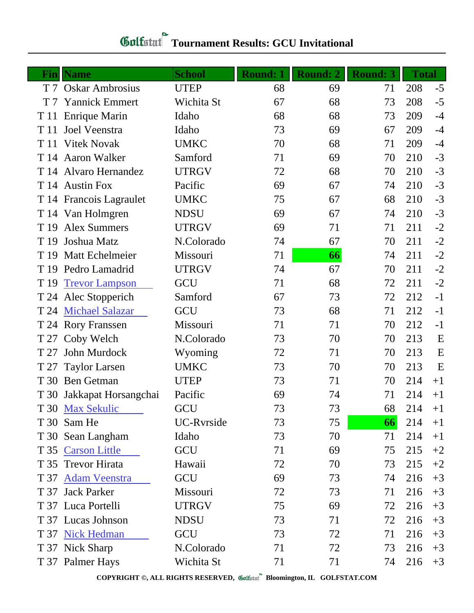| Fin  | <b>Name</b>               | <b>School</b> | <b>Round: 1</b> | Round: 2 | <b>Round: 3</b> | <b>Total</b> |      |
|------|---------------------------|---------------|-----------------|----------|-----------------|--------------|------|
|      | T 7 Oskar Ambrosius       | <b>UTEP</b>   | 68              | 69       | 71              | 208          | $-5$ |
| T 7  | <b>Yannick Emmert</b>     | Wichita St    | 67              | 68       | 73              | 208          | $-5$ |
| T 11 | <b>Enrique Marin</b>      | Idaho         | 68              | 68       | 73              | 209          | $-4$ |
| T 11 | Joel Veenstra             | Idaho         | 73              | 69       | 67              | 209          | $-4$ |
| T 11 | <b>Vitek Novak</b>        | <b>UMKC</b>   | 70              | 68       | 71              | 209          | $-4$ |
|      | T 14 Aaron Walker         | Samford       | 71              | 69       | 70              | 210          | $-3$ |
|      | T 14 Alvaro Hernandez     | <b>UTRGV</b>  | 72              | 68       | 70              | 210          | $-3$ |
|      | T 14 Austin Fox           | Pacific       | 69              | 67       | 74              | 210          | $-3$ |
|      | T 14 Francois Lagraulet   | <b>UMKC</b>   | 75              | 67       | 68              | 210          | $-3$ |
|      | T 14 Van Holmgren         | <b>NDSU</b>   | 69              | 67       | 74              | 210          | $-3$ |
| T 19 | <b>Alex Summers</b>       | <b>UTRGV</b>  | 69              | 71       | 71              | 211          | $-2$ |
| T 19 | Joshua Matz               | N.Colorado    | 74              | 67       | 70              | 211          | $-2$ |
| T 19 | <b>Matt Echelmeier</b>    | Missouri      | 71              | 66       | 74              | 211          | $-2$ |
|      | T 19 Pedro Lamadrid       | <b>UTRGV</b>  | 74              | 67       | 70              | 211          | $-2$ |
| T 19 | <b>Trevor Lampson</b>     | GCU           | 71              | 68       | 72              | 211          | $-2$ |
|      | T 24 Alec Stopperich      | Samford       | 67              | 73       | 72              | 212          | $-1$ |
|      | T 24 Michael Salazar      | GCU           | 73              | 68       | 71              | 212          | $-1$ |
|      | T 24 Rory Franssen        | Missouri      | 71              | 71       | 70              | 212          | $-1$ |
| T 27 | Coby Welch                | N.Colorado    | 73              | 70       | 70              | 213          | E    |
| T 27 | John Murdock              | Wyoming       | 72              | 71       | 70              | 213          | E    |
|      | T 27 Taylor Larsen        | <b>UMKC</b>   | 73              | 70       | 70              | 213          | E    |
| T 30 | <b>Ben Getman</b>         | <b>UTEP</b>   | 73              | 71       | 70              | 214          | $+1$ |
|      | T 30 Jakkapat Horsangchai | Pacific       | 69              | 74       | 71              | 214          | $+1$ |
|      | T 30 Max Sekulic          | GCU           | 73              | 73       | 68              | 214          | $+1$ |
|      | T 30 Sam He               | UC-Rvrside    | 73              | 75       | 66              | 214          | $+1$ |
|      | T 30 Sean Langham         | Idaho         | 73              | 70       | 71              | 214          | $+1$ |
|      | T 35 Carson Little        | GCU           | 71              | 69       | 75              | 215          | $+2$ |
|      | T 35 Trevor Hirata        | Hawaii        | 72              | 70       | 73              | 215          | $+2$ |
|      | T 37 Adam Veenstra        | GCU           | 69              | 73       | 74              | 216          | $+3$ |
|      | T 37 Jack Parker          | Missouri      | 72              | 73       | 71              | 216          | $+3$ |
|      | T 37 Luca Portelli        | <b>UTRGV</b>  | 75              | 69       | 72              | 216          | $+3$ |
|      | T 37 Lucas Johnson        | <b>NDSU</b>   | 73              | 71       | 72              | 216          | $+3$ |
|      | T 37 Nick Hedman          | GCU           | 73              | 72       | 71              | 216          | $+3$ |
|      | T 37 Nick Sharp           | N.Colorado    | 71              | 72       | 73              | 216          | $+3$ |
|      | T 37 Palmer Hays          | Wichita St    | 71              | 71       | 74              | 216          | $+3$ |

**COPYRIGHT ©, ALL RIGHTS RESERVED, Bloomington, IL GOLFSTAT.COM**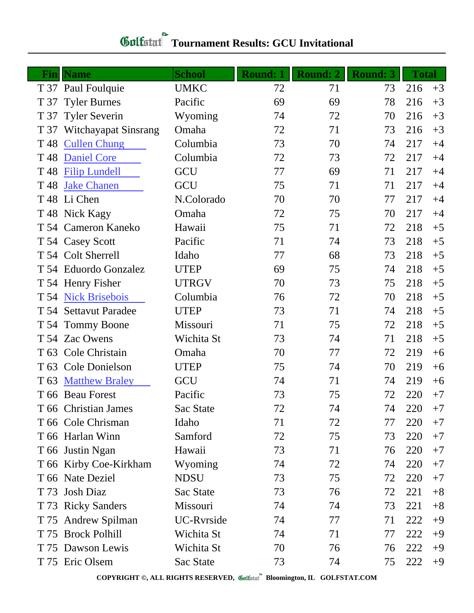| Fin             | <b>Name</b>            | <b>School</b> | <b>Round: 1</b> | <b>Round: 2</b> | <b>Round: 3</b> | <b>Total</b> |      |
|-----------------|------------------------|---------------|-----------------|-----------------|-----------------|--------------|------|
|                 | T 37 Paul Foulquie     | <b>UMKC</b>   | 72              | 71              | 73              | 216          | $+3$ |
| T 37            | <b>Tyler Burnes</b>    | Pacific       | 69              | 69              | 78              | 216          | $+3$ |
| T 37            | <b>Tyler Severin</b>   | Wyoming       | 74              | 72              | 70              | 216          | $+3$ |
| T 37            | Witchayapat Sinsrang   | Omaha         | 72              | 71              | 73              | 216          | $+3$ |
| T 48            | <b>Cullen Chung</b>    | Columbia      | 73              | 70              | 74              | 217          | $+4$ |
| T <sub>48</sub> | <b>Daniel Core</b>     | Columbia      | 72              | 73              | 72              | 217          | $+4$ |
| T <sub>48</sub> | <b>Filip Lundell</b>   | GCU           | 77              | 69              | 71              | 217          | $+4$ |
| T <sub>48</sub> | <b>Jake Chanen</b>     | GCU           | 75              | 71              | 71              | 217          | $+4$ |
| T 48            | Li Chen                | N.Colorado    | 70              | 70              | 77              | 217          | $+4$ |
|                 | T 48 Nick Kagy         | Omaha         | 72              | 75              | 70              | 217          | $+4$ |
|                 | T 54 Cameron Kaneko    | Hawaii        | 75              | 71              | 72              | 218          | $+5$ |
|                 | T 54 Casey Scott       | Pacific       | 71              | 74              | 73              | 218          | $+5$ |
|                 | T 54 Colt Sherrell     | Idaho         | 77              | 68              | 73              | 218          | $+5$ |
|                 | T 54 Eduordo Gonzalez  | <b>UTEP</b>   | 69              | 75              | 74              | 218          | $+5$ |
|                 | T 54 Henry Fisher      | <b>UTRGV</b>  | 70              | 73              | 75              | 218          | $+5$ |
| T 54            | <b>Nick Brisebois</b>  | Columbia      | 76              | 72              | 70              | 218          | $+5$ |
|                 | T 54 Settavut Paradee  | <b>UTEP</b>   | 73              | 71              | 74              | 218          | $+5$ |
|                 | T 54 Tommy Boone       | Missouri      | 71              | 75              | 72              | 218          | $+5$ |
|                 | T 54 Zac Owens         | Wichita St    | 73              | 74              | 71              | 218          | $+5$ |
| T 63            | Cole Christain         | Omaha         | 70              | 77              | 72              | 219          | $+6$ |
| T 63            | Cole Donielson         | <b>UTEP</b>   | 75              | 74              | 70              | 219          | $+6$ |
| T 63            | <b>Matthew Braley</b>  | GCU           | 74              | 71              | 74              | 219          | $+6$ |
|                 | T 66 Beau Forest       | Pacific       | 73              | 75              | 72              | 220          | $+7$ |
|                 | T 66 Christian James   | Sac State     | 72              | 74              | 74              | 220          | $+7$ |
|                 | T 66 Cole Chrisman     | Idaho         | 71              | 72              | 77              | 220          | $+7$ |
|                 | T 66 Harlan Winn       | Samford       | 72              | 75              | 73              | 220          | $+7$ |
|                 | T 66 Justin Ngan       | Hawaii        | 73              | 71              | 76              | 220          | $+7$ |
|                 | T 66 Kirby Coe-Kirkham | Wyoming       | 74              | 72              | 74              | 220          | $+7$ |
|                 | T 66 Nate Deziel       | <b>NDSU</b>   | 73              | 75              | 72              | 220          | $+7$ |
| T 73            | Josh Diaz              | Sac State     | 73              | 76              | 72              | 221          | $+8$ |
|                 | T 73 Ricky Sanders     | Missouri      | 74              | 74              | 73              | 221          | $+8$ |
|                 | T 75 Andrew Spilman    | UC-Rvrside    | 74              | 77              | 71              | 222          | $+9$ |
|                 | T 75 Brock Polhill     | Wichita St    | 74              | 71              | 77              | 222          | $+9$ |
|                 | T 75 Dawson Lewis      | Wichita St    | 70              | 76              | 76              | 222          | $+9$ |
|                 | T 75 Eric Olsem        | Sac State     | 73              | 74              | 75              | 222          | $+9$ |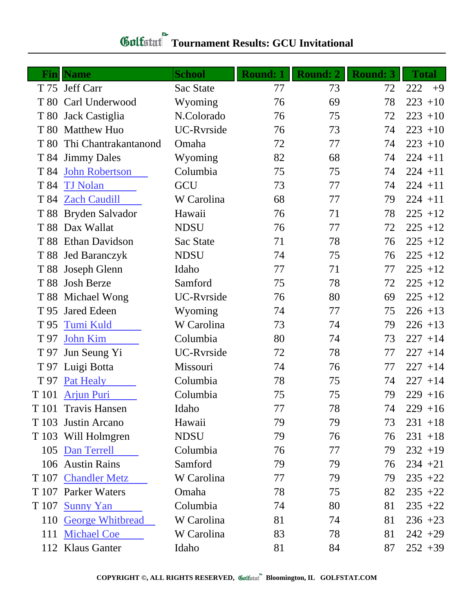| Finl            | <b>Name</b>             | <b>School</b>     | <b>Round: 1</b> | <b>Round: 2</b> | <b>Round: 3</b> | <b>Total</b> |
|-----------------|-------------------------|-------------------|-----------------|-----------------|-----------------|--------------|
|                 | T 75 Jeff Carr          | Sac State         | 77              | 73              | 72              | 222<br>$+9$  |
| T 80            | Carl Underwood          | Wyoming           | 76              | 69              | 78              | $223 + 10$   |
| T 80            | Jack Castiglia          | N.Colorado        | 76              | 75              | 72              | $223 + 10$   |
| T 80            | <b>Matthew Huo</b>      | <b>UC-Ryrside</b> | 76              | 73              | 74              | $223 + 10$   |
| T 80            | Thi Chantrakantanond    | Omaha             | 72              | 77              | 74              | $223 + 10$   |
|                 | T 84 Jimmy Dales        | Wyoming           | 82              | 68              | 74              | $224 + 11$   |
| T 84            | <b>John Robertson</b>   | Columbia          | 75              | 75              | 74              | $224 + 11$   |
| T 84            | <b>TJ Nolan</b>         | GCU               | 73              | 77              | 74              | $224 + 11$   |
|                 | T 84 Zach Caudill       | W Carolina        | 68              | 77              | 79              | $224 + 11$   |
|                 | T 88 Bryden Salvador    | Hawaii            | 76              | 71              | 78              | $225 + 12$   |
| T 88            | Dax Wallat              | <b>NDSU</b>       | 76              | 77              | 72              | $225 + 12$   |
|                 | T 88 Ethan Davidson     | Sac State         | 71              | 78              | 76              | $225 + 12$   |
|                 | T 88 Jed Baranczyk      | <b>NDSU</b>       | 74              | 75              | 76              | $225 + 12$   |
| T 88            | Joseph Glenn            | Idaho             | 77              | 71              | 77              | $225 + 12$   |
| T 88            | <b>Josh Berze</b>       | Samford           | 75              | 78              | 72              | $225 + 12$   |
|                 | T 88 Michael Wong       | <b>UC-Ryrside</b> | 76              | 80              | 69              | $225 + 12$   |
| T 95            | Jared Edeen             | Wyoming           | 74              | 77              | 75              | $226 + 13$   |
| T <sub>95</sub> | <b>Tumi Kuld</b>        | W Carolina        | 73              | 74              | 79              | $226 + 13$   |
| T 97            | <b>John Kim</b>         | Columbia          | 80              | 74              | 73              | $227 + 14$   |
| T 97            | Jun Seung Yi            | UC-Ryrside        | 72              | 78              | 77              | $227 + 14$   |
|                 | T 97 Luigi Botta        | Missouri          | 74              | 76              | 77              | $227 + 14$   |
| T 97            | Pat Healy               | Columbia          | 78              | 75              | 74              | $227 + 14$   |
| T 101           | <b>Arjun Puri</b>       | Columbia          | 75              | 75              | 79              | $229 + 16$   |
| T 101           | <b>Travis Hansen</b>    | Idaho             | $77\,$          | 78              | 74              | $229 + 16$   |
| T 103           | Justin Arcano           | Hawaii            | 79              | 79              | 73              | $231 + 18$   |
|                 | T 103 Will Holmgren     | <b>NDSU</b>       | 79              | 76              | 76              | $231 + 18$   |
|                 | 105 Dan Terrell         | Columbia          | 76              | 77              | 79              | $232 + 19$   |
|                 | 106 Austin Rains        | Samford           | 79              | 79              | 76              | $234 + 21$   |
| T 107           | <b>Chandler Metz</b>    | W Carolina        | 77              | 79              | 79              | $235 +22$    |
|                 | T 107 Parker Waters     | Omaha             | 78              | 75              | 82              | $235 + 22$   |
| T 107           | <b>Sunny Yan</b>        | Columbia          | 74              | 80              | 81              | $235 +22$    |
| 110             | <b>George Whitbread</b> | W Carolina        | 81              | 74              | 81              | $236 + 23$   |
| 111             | <b>Michael Coe</b>      | W Carolina        | 83              | 78              | 81              | $242 + 29$   |
|                 | 112 Klaus Ganter        | Idaho             | 81              | 84              | 87              | $252 + 39$   |